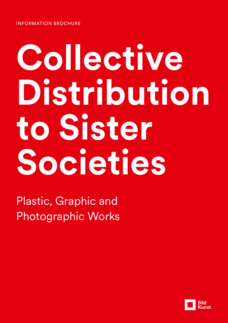INFORMATION BROCHURE

# **Collective Distribution to Sister Societies**

Plastic, Graphic and Photographic Works

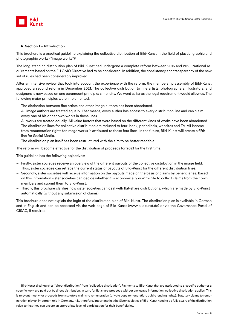

### A. Section 1 – Introduction

This brochure is a practical guideline explaining the collective distribution of Bild-Kunst in the field of plastic, graphic and photographic works ("image works")<sup>1</sup> .

The long-standing distribution plan of Bild-Kunst had undergone a complete reform between 2016 and 2018. National requirements based on the EU CMO Directive had to be considered. In addition, the consistency and transparency of the new set of rules had been considerably improved.

After an intensive review that took into account the experience with the reform, the membership assembly of Bild-Kunst approved a second reform in December 2021. The collective distribution to fine artists, photographers, illustrators, and designers is now based on one paramount principle: simplicity. We went as far as the legal requirement would allow us. The following major principles were implemented:

- The distinction between fine artists and other image authors has been abandoned.
- All image authors are treated equally. That means, every author has access to every distribution line and can claim every one of his or her own works in those lines.
- All works are treated equally. All value factors that were based on the different kinds of works have been abandoned.
- The distribution lines for collective distribution are reduced to four: book, periodicals, websites and TV. All income from remuneration rights for image works is attributed to these four lines. In the future, Bild-Kunst will create a fifth line for Social Media.
- The distribution plan itself has been restructured with the aim to be better readable.

The reform will become effective for the distribution of proceeds for 2021 for the first time.

This guideline has the following objectives:

- Firstly, sister societies receive an overview of the different payouts of the collective distribution in the image field. Thus, sister societies can retrace the current status of payouts of Bild-Kunst for the different distribution lines.
- Secondly, sister societies will receive information on the payouts made on the basis of claims by beneficiaries. Based on this information sister societies can decide whether it is economically worthwhile to collect claims from their own members and submit them to Bild-Kunst.
- Thirdly, this brochure clarifies how sister societies can deal with flat-share distributions, which are made by Bild-Kunst automatically (without any submission of claims).

This brochure does not explain the logic of the distribution plan of Bild-Kunst. The distribution plan is available in German and in English and can be accessed via the web page of Bild-Kunst [\(www.bildkunst.de\)](http://www.bildkunst.de) or via the Governance Portal of CISAC, if required.

<sup>1</sup> Bild-Kunst distinguishes "direct distribution" from "collective distribution". Payments to Bild-Kunst that are attributed to a specific author or a specific work are paid out by direct distribution. In turn, for flat share proceeds without any usage information, collective distribution applies. This is relevant mostly for proceeds from statutory claims to remuneration (private copy remuneration, public lending rights). Statutory claims to remuneration play an important role in Germany. It is, therefore, important that the Sister societies of Bild-Kunst need to be fully aware of the distribution rules so that they can ensure an appropriate level of participation for their beneficiaries.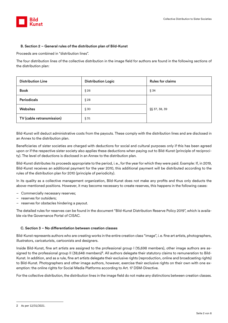

# B. Section 2 – General rules of the distribution plan of Bild-Kunst

Proceeds are combined in "distribution lines".

The four distribution lines of the collective distribution in the image field for authors are found in the following sections of the distribution plan:

| <b>Distribution Line</b>  | <b>Distribution Logic</b> | <b>Rules for claims</b> |
|---------------------------|---------------------------|-------------------------|
| <b>Book</b>               | §26                       | § 34                    |
| <b>Periodicals</b>        | §28                       |                         |
| <b>Websites</b>           | § 30                      | §§ 37, 38, 39           |
| TV (cable retransmission) | $\S 31$                   |                         |

Bild-Kunst will deduct administrative costs from the payouts. These comply with the distribution lines and are disclosed in an Annex to the distribution plan.

Beneficiaries of sister societies are charged with deductions for social and cultural purposes only if this has been agreed upon or if the respective sister society also applies these deductions when paying out to Bild-Kunst (principle of reciprocity). The level of deductions is disclosed in an Annex to the distribution plan.

Bild-Kunst distributes its proceeds appropriate to the period, i.e., for the year for which they were paid. Example: If, in 2019, Bild-Kunst receives an additional payment for the year 2010, this additional payment will be distributed according to the rules of the distribution plan for 2010 (principle of periodicity).

In its quality as a collective management organization, Bild-Kunst does not make any profits and thus only deducts the above-mentioned positions. However, it may become necessary to create reserves, this happens in the following cases:

- Commercially necessary reserves;
- reserves for outsiders;
- reserves for obstacles hindering a payout.

The detailed rules for reserves can be found in the document "Bild-Kunst Distribution Reserve Policy 2019", which is available via the Governance Portal of CISAC.

# C. Section 3 – No differentiation between creation classes

Bild-Kunst represents authors who are creating works in the entire creation class "image", i.e. fine art artists, photographers, illustrators, caricaturists, cartoonists and designers.

Inside Bild-Kunst, fine art artists are assigned to the professional group I (15,698 members), other image authors are assigned to the professional group II (38,648 members)<sup>2</sup> . All authors delegate their statutory claims to remuneration to Bild-Kunst. In addition, and as a rule, fine art artists delegate their exclusive rights (reproduction, online and broadcasting rights) to Bild-Kunst. Photographers and other image authors, however, exercise their exclusive rights on their own with one exemption: the online rights for Social Media Platforms according to Art. 17 DSM-Directive.

For the collective distribution, the distribution lines in the image field do not make any distinctions between creation classes.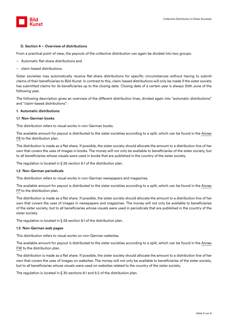

# D. Section 4 – Overview of distributions

From a practical point of view, the payouts of the collective distribution can again be divided into two groups:

- Automatic flat-share distributions and
- claim-based distributions.

Sister societies may automatically receive flat-share distributions for specific circumstances without having to submit claims of their beneficiaries to Bild-Kunst. In contrast to this, claim-based distributions will only be made if the sister society has submitted claims for its beneficiaries up to the closing date. Closing date of a certain year is always 30th June of the following year.

The following description gives an overview of the different distribution lines, divided again into "automatic distributions" and "claim-based distributions":

# 1. Automatic distributions

### 1.1 Non-German books

This distribution refers to visual works in non-German books.

The available amount for payout is distributed to the sister societies according to a split, which can be found in the Annex FB to the distribution plan.

The distribution is made as a flat share. If possible, the sister society should allocate the amount to a distribution line of her own that covers the uses of images in books. The money will not only be available to beneficiaries of the sister society, but to all beneficiaries whose visuals were used in books that are published in the country of the sister society.

The regulation is located in § 26 section 8.1 of the distribution plan.

### 1.2 Non-German periodicals

This distribution refers to visual works in non-German newspapers and magazines.

The available amount for payout is distributed to the sister societies according to a split, which can be found in the Annex FP to the distribution plan.

The distribution is made as a flat share. If possible, the sister society should allocate the amount to a distribution line of her own that covers the uses of images in newspapers and magazines. The money will not only be available to beneficiaries of the sister society, but to all beneficiaries whose visuals were used in periodicals that are published in the country of the sister society.

The regulation is located in § 28 section 8.1 of the distribution plan.

# 1.3 Non-German web pages

This distribution refers to visual works on non-German websites.

The available amount for payout is distributed to the sister societies according to a split, which can be found in the Annex FW to the distribution plan.

The distribution is made as a flat share. If possible, the sister society should allocate the amount to a distribution line of her own that covers the uses of images on websites. The money will not only be available to beneficiaries of the sister society, but to all beneficiaries whose visuals were used on websites related to the country of the sister society.

The regulation is located in § 30 sections 8.1 and 8.2 of the distribution plan.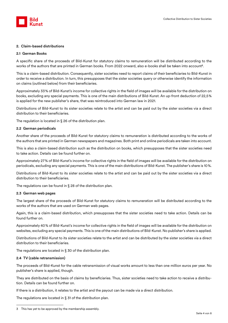

# 2. Claim-based distributions

## 2.1 German Books

A specific share of the proceeds of Bild-Kunst for statutory claims to remuneration will be distributed according to the works of the authors that are printed in German books. From 2022 onward, also e-books shall be taken into account3.

This is a claim-based distribution. Consequently, sister societies need to report claims of their beneficiaries to Bild-Kunst in order to receive a distribution. In turn, this presupposes that the sister societies query or otherwise identify the information on claims (outlined below) from their beneficiaries.

Approximately 33% of Bild-Kunst's income for collective rights in the field of images will be available for the distribution on books, excluding any special payments. This is one of the main distributions of Bild-Kunst. An up-front deduction of 22,5% is applied for the new publisher's share, that was reintroduced into German law in 2021.

Distributions of Bild-Kunst to its sister societies relate to the artist and can be paid out by the sister societies via a direct distribution to their beneficiaries.

The regulation is located in § 26 of the distribution plan.

### 2.2 German periodicals

Another share of the proceeds of Bild-Kunst for statutory claims to remuneration is distributed according to the works of the authors that are printed in German newspapers and magazines. Both print and online periodicals are taken into account.

This is also a claim-based distribution such as the distribution on books, which presupposes that the sister societies need to take action. Details can be found further on.

Approximately 27% of Bild-Kunst's income for collective rights in the field of images will be available for the distribution on periodicals, excluding any special payments. This is one of the main distributions of Bild-Kunst. The publisher's share is 10%.

Distributions of Bild-Kunst to its sister societies relate to the artist and can be paid out by the sister societies via a direct distribution to their beneficiaries.

The regulations can be found in § 28 of the distribution plan.

### 2.3 German web pages

The largest share of the proceeds of Bild-Kunst for statutory claims to remuneration will be distributed according to the works of the authors that are used on German web pages.

Again, this is a claim-based distribution, which presupposes that the sister societies need to take action. Details can be found further on.

Approximately 40% of Bild-Kunst's income for collective rights in the field of images will be available for the distribution on websites, excluding any special payments. This is one of the main distributions of Bild-Kunst. No publisher's share is applied.

Distributions of Bild-Kunst to its sister societies relate to the artist and can be distributed by the sister societies via a direct distribution to their beneficiaries.

The regulations are located in § 30 of the distribution plan.

### 2.4 TV (cable retransmission)

The proceeds of Bild-Kunst for the cable retransmission of visual works amount to less than one million euros per year. No publisher's share is applied, though.

They are distributed on the basis of claims by beneficiaries. Thus, sister societies need to take action to receive a distribution. Details can be found further on.

If there is a distribution, it relates to the artist and the payout can be made via a direct distribution.

The regulations are located in § 31 of the distribution plan.

<sup>3</sup> This has yet to be approved by the membership assembly.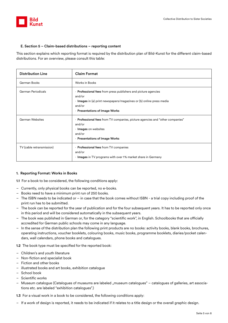

# E. Section 5 – Claim-based distributions – reporting content

This section explains which reporting format is required by the distribution plan of Bild-Kunst for the different claim-based distributions. For an overview, please consult this table:

| <b>Distribution Line</b>  | <b>Claim Format</b>                                                                                                                                                                        |
|---------------------------|--------------------------------------------------------------------------------------------------------------------------------------------------------------------------------------------|
| German Books              | <b>Works in Books</b>                                                                                                                                                                      |
| German Periodicals        | . Professional fees from press publishers and picture agencies<br>and/or<br>Images in (a) print newspapers/magazines or (b) online press media<br>and/or<br>⋅ Presentations of Image Works |
| <b>German Websites</b>    | · Professional fees from TV companies, picture agencies and "other companies"<br>and/or<br>$\cdot$ Images on websites<br>and/or<br>· Presentations of Image Works                          |
| TV (cable retransmission) | · Professional fees from TV companies<br>and/or<br>Images in TV programs with over 1% market share in Germany                                                                              |

# 1. Reporting Format: Works in Books

1.1 For a book to be considered, the following conditions apply:

- Currently, only physical books can be reported, no e-books.
- Books need to have a minimum print run of 250 books.
- The ISBN needs to be indicated or in case that the book comes without ISBN a trial copy including proof of the print run has to be submitted.
- The book can be reported for the year of publication and for the four subsequent years. It has to be reported only once in this period and will be considered automatically in the subsequent years.
- The book was published in German or, for the category "scientific work", in English. Schoolbooks that are officially accredited for German public schools may come in any language.
- In the sense of the distribution plan the following print products are no books: activity books, blank books, brochures, operating instructions, voucher booklets, colouring books, music books, programme booklets, diaries/pocket calendars, wall calendars, phone books and catalogues.

1.2 The book type must be specified for the reported book:

- Children's and youth literature
- Non-fiction and specialist book
- Fiction and other books
- illustrated books and art books, exhibition catalogue
- School book
- Scientific works
- Museum catalogue (Catalogues of museums are labeled "museum catalogues" catalogues of galleries, art associations etc. are labeled "exhibition catalogues".)

1.3 For a visual work in a book to be considered, the following conditions apply:

– If a work of design is reported, it needs to be indicated if it relates to a title design or the overall graphic design.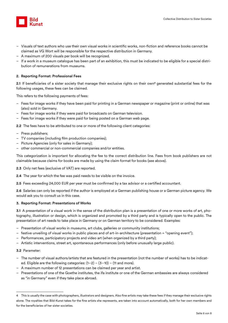

- Visuals of text authors who use their own visual works in scientific works, non-fiction and reference books cannot be claimed as VG Wort will be responsible for the respective distribution in Germany.
- A maximum of 200 visuals per book will be recognized.
- If a work in a museum catalogue has been part of an exhibition, this must be indicated to be eligible for a special distribution of remunerations from museums.

# 2. Reporting Format: Professional Fees

2.1 If beneficiaries of a sister society that manage their exclusive rights on their own<sup>4</sup> generated substantial fees for the following usages, these fees can be claimed.

This refers to the following payments of fees:

- Fees for image works if they have been paid for printing in a German newspaper or magazine (print or online) that was (also) sold in Germany.
- Fees for image works if they were paid for broadcasts on German television.
- Fees for image works if they were paid for being posted on a German web page.

2.2 The fees have to be attributed to one or more of the following client categories:

- Press publishers;
- TV companies (including film production companies);
- Picture Agencies (only for sales in Germany);
- other commercial or non-commercial companies and/or entities.

This categorization is important for allocating the fee to the correct distribution line. Fees from book publishers are not claimable because claims for books are made by using the claim format for books (see above).

- 2.3 Only net fees (exclusive of VAT) are reported.
- 2.4 The year for which the fee was paid needs to be visible on the invoice.

2.5 Fees exceeding 24,000 EUR per year must be confirmed by a tax advisor or a certified accountant.

2.6 Salaries can only be reported if the author is employed at a German publishing house or a German picture agency. We would ask you to consult us in this case.

# 3. Reporting Format: Presentations of Works

3.1 A presentation of a visual work in the sense of the distribution plan is a presentation of one or more works of art, photography, illustration or design, which is organized and promoted by a third party and is typically open to the public. The presentation of art needs to take place in Germany or on German territory to be considered. Examples:

- Presentation of visual works in museums, art clubs, galleries or community institutions;
- festive unveiling of visual works in public places and of art-in-architecture (presentation = "opening event");
- Performances, participatory projects and video art (when organized by a third party);
- Artistic interventions, street art, spontaneous performances (only before unusually large public).

# 3.2 Parameter:

- The number of visual authors/artists that are featured in the presentation (not the number of works) has to be indicated. Eligible are the following categories:  $(1-2) - (3-10) - (11)$  and more).
- A maximum number of 12 presentations can be claimed per year and artist.
- Presentations of one of the Goethe institutes, the ifa institute or one of the German embassies are always considered as "in Germany" even if they take place abroad.

<sup>4</sup> This is usually the case with photographers, illustrators and designers. Also fine artists may take these fees if they manage their exclusive rights alone. The royalties that Bild-Kunst takes for the fine artists she represents, are taken into account automatically, both for her own members and for the beneficiaries of her sister societies.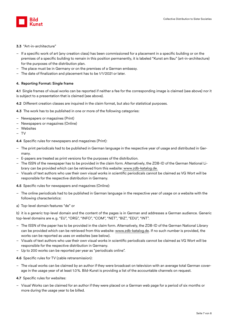

# 3.3 "Art-in-architecture"

- If a specific work of art (any creation class) has been commissioned for a placement in a specific building or on the premises of a specific building to remain in this position permanently, it is labeled "Kunst am Bau" (art-in-architecture) for the purposes of the distribution plan.
- The place must be in Germany or on the premises of a German embassy.
- The date of finalization and placement has to be 1/1/2021 or later.

# 4. Reporting Format: Single frame

4.1 Single frames of visual works can be reported if neither a fee for the corresponding image is claimed (see above) nor it is subject to a presentation that is claimed (see above).

4.2 Different creation classes are inquired in the claim format, but also for statistical purposes.

4.3 The work has to be published in one or more of the following categories:

- Newspapers or magazines (Print)
- Newspapers or magazines (Online)
- Websites
- TV

4.4 Specific rules for newspapers and magazines (Print):

- The print periodicals had to be published in German language in the respective year of usage and distributed in Germany.
- E-papers are treated as print versions for the purposes of the distribution.
- The ISSN of the newspaper has to be provided in the claim form. Alternatively, the ZDB-ID of the German National Library can be provided which can be retrieved from this website: [www.zdb-katalog.de.](http://www.zdb-katalog.de)
- Visuals of text authors who use their own visual works in scientific periodicals cannot be claimed as VG Wort will be responsible for the respective distribution in Germany.

4.5 Specific rules for newspapers and magazines (Online):

- The online periodicals had to be published in German language in the respective year of usage on a website with the following characteristics:
- a) Top-level domain features "de" or

b) it is a generic top-level domain and the content of the pages is in German and addresses a German audience. Generic top-level domains are e.g. "EU", "ORG", "INFO", "COM", "NET", "BIZ", "EDU", "INT".

- The ISSN of the paper has to be provided in the claim form. Alternatively, the ZDB-ID of the German National Library can be provided which can be retrieved from this website: [www.zdb-katalog.de.](http://www.zdb-katalog.de) If no such number is provided, the works can be reported as uses on websites (see below).
- Visuals of text authors who use their own visual works in scientific periodicals cannot be claimed as VG Wort will be responsible for the respective distribution in Germany.
- Up to 200 works can be reported per year as "periodicals online".
- 4.6 Specific rules for TV (cable retransmission):
- The visual works can be claimed by an author if they were broadcast on television with an average total German coverage in the usage year of at least 1.0%. Bild-Kunst is providing a list of the accountable channels on request.
- 4.7 Specific rules for websites:
- Visual Works can be claimed for an author if they were placed on a German web page for a period of six months or more during the usage year to be billed.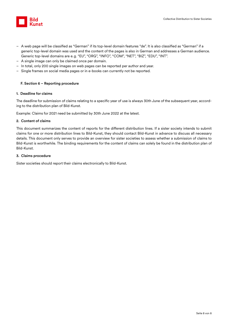

- A web page will be classified as "German" if its top-level domain features "de". It is also classified as "German" if a generic top-level domain was used and the content of the pages is also in German and addresses a German audience. Generic top-level domains are e.g. "EU", "ORG", "INFO", "COM", "NET", "BIZ", "EDU", "INT".
- A single image can only be claimed once per domain.
- In total, only 200 single images on web pages can be reported per author and year.
- Single frames on social media pages or in e-books can currently not be reported.

# F. Section 6 – Reporting procedure

# 1. Deadline for claims

The deadline for submission of claims relating to a specific year of use is always 30th June of the subsequent year, according to the distribution plan of Bild-Kunst.

Example: Claims for 2021 need be submitted by 30th June 2022 at the latest.

# 2. Content of claims

This document summarizes the content of reports for the different distribution lines. If a sister society intends to submit claims for one or more distribution lines to Bild-Kunst, they should contact Bild-Kunst in advance to discuss all necessary details. This document only serves to provide an overview for sister societies to assess whether a submission of claims to Bild-Kunst is worthwhile. The binding requirements for the content of claims can solely be found in the distribution plan of Bild-Kunst.

# 3. Claims procedure

Sister societies should report their claims electronically to Bild-Kunst.